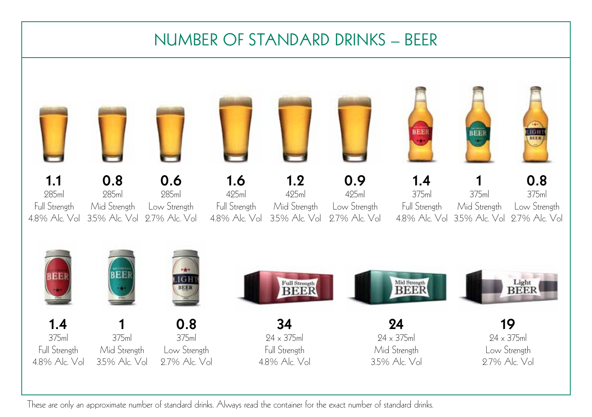## NUMBER OF STANDARD DRINKS – BEER



These are only an approximate number of standard drinks. Always read the container for the exact number of standard drinks.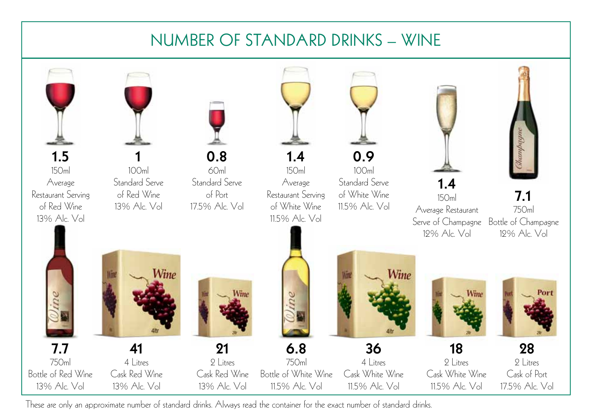## NUMBER OF STANDARD DRINKS – WINE



These are only an approximate number of standard drinks. Always read the container for the exact number of standard drinks.